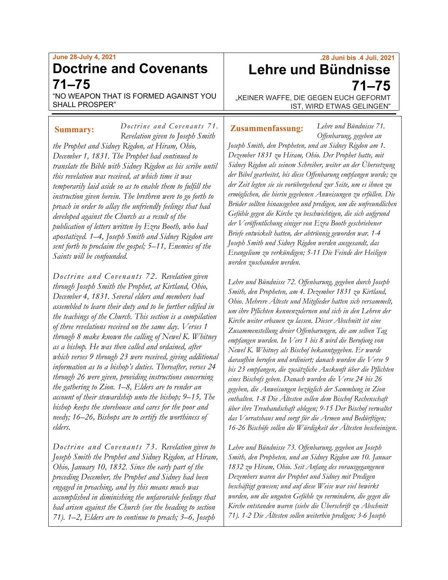## **June 28-July 4, 2021 Doctrine and Covenants 71–75**

"NO WEAPON THAT IS FORMED AGAINST YOU SHALL PROSPER"

*Doctrine an d Covenan ts 71. Revelation given to Joseph Smith the Prophet and Sidney Rigdon, at Hiram, Ohio, December 1, 1831. The Prophet had continued to translate the Bible with Sidney Rigdon as his scribe until this revelation was received, at which time it was temporarily laid aside so as to enable them to fulfill the instruction given herein. The brethren were to go forth to preach in order to allay the unfriendly feelings that had developed against the Church as a result of the publication of letters written by Ezra Booth, who had apostatized. 1–4, Joseph Smith and Sidney Rigdon are sent forth to proclaim the gospel; 5–11, Enemies of the Saints will be confounded.* **Summary:** *Doctrine and Covenants /1.* **Zusammenfassung:** 

*Doctrine and Covenants 72. Revelation given through Joseph Smith the Prophet, at Kirtland, Ohio, December 4, 1831. Several elders and members had assembled to learn their duty and to be further edified in the teachings of the Church. This section is a compilation of three revelations received on the same day. Verses 1 through 8 make known the calling of Newel K. Whitney as a bishop. He was then called and ordained, after which verses 9 through 23 were received, giving additional information as to a bishop's duties. Thereafter, verses 24 through 26 were given, providing instructions concerning the gathering to Zion. 1–8, Elders are to render an account of their stewardship unto the bishop; 9–15, The bishop keeps the storehouse and cares for the poor and needy; 16–26, Bishops are to certify the worthiness of elders.*

*Doctrine and Covenants 73. Revelation given to Joseph Smith the Prophet and Sidney Rigdon, at Hiram, Ohio, January 10, 1832. Since the early part of the preceding December, the Prophet and Sidney had been engaged in preaching, and by this means much was accomplished in diminishing the unfavorable feelings that had arisen against the Church (see the heading to section 71). 1–2, Elders are to continue to preach; 3–6, Joseph* 

# **.28 Juni bis .4 Juli, 2021 Lehre und Bündnisse 71–75**

"KEINER WAFFE, DIE GEGEN EUCH GEFORMT IST, WIRD ETWAS GELINGEN"

*Lehre und Bündnisse 71. Offenbarung, gegeben an* 

*Joseph Smith, den Propheten, und an Sidney Rigdon am 1. Dezember 1831 zu Hiram, Ohio. Der Prophet hatte, mit Sidney Rigdon als seinem Schreiber, weiter an der Übersetzung der Bibel gearbeitet, bis diese Offenbarung empfangen wurde; zu der Zeit legten sie sie vorübergehend zur Seite, um es ihnen zu ermöglichen, die hierin gegebenen Anweisungen zu erfüllen. Die Brüder sollten hinausgehen und predigen, um die unfreundlichen Gefühle gegen die Kirche zu beschwichtigen, die sich aufgrund der Veröffentlichung einiger von Ezra Booth geschriebener Briefe entwickelt hatten, der abtrünnig geworden war. 1-4 Joseph Smith und Sidney Rigdon werden ausgesandt, das Evangelium zu verkündigen; 5-11 Die Feinde der Heiligen werden zuschanden werden.*

*Lehre und Bündnisse 72. Offenbarung, gegeben durch Joseph Smith, den Propheten, am 4. Dezember 1831 zu Kirtland, Ohio. Mehrere Älteste und Mitglieder hatten sich versammelt, um ihre Pflichten kennenzulernen und sich in den Lehren der Kirche weiter erbauen zu lassen. Dieser Abschnitt ist eine Zusammenstellung dreier Offenbarungen, die am selben Tag empfangen wurden. In Vers 1 bis 8 wird die Berufung von Newel K. Whitney als Bischof bekanntgegeben. Er wurde daraufhin berufen und ordiniert; danach wurden die Verse 9 bis 23 empfangen, die zusätzliche Auskunft über die Pflichten eines Bischofs geben. Danach wurden die Verse 24 bis 26 gegeben, die Anweisungen bezüglich der Sammlung in Zion enthalten. 1-8 Die Ältesten sollen dem Bischof Rechenschaft über ihre Treuhandschaft ablegen; 9-15 Der Bischof verwaltet das Vorratshaus und sorgt für die Armen und Bedürftigen; 16-26 Bischöfe sollen die Würdigkeit der Ältesten bescheinigen.*

*Lehre und Bündnisse 73. Offenbarung, gegeben an Joseph Smith, den Propheten, und an Sidney Rigdon am 10. Januar 1832 zu Hiram, Ohio. Seit Anfang des vorausgegangenen Dezembers waren der Prophet und Sidney mit Predigen beschäftigt gewesen; und auf diese Weise war viel bewirkt worden, um die unguten Gefühle zu vermindern, die gegen die Kirche entstanden waren (siehe die Überschrift zu Abschnitt 71). 1-2 Die Ältesten sollen weiterhin predigen; 3-6 Joseph*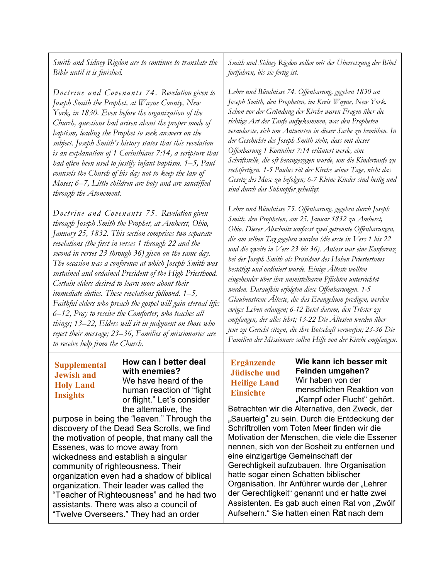*Smith and Sidney Rigdon are to continue to translate the Bible until it is finished.*

*Doctrine and Covenants 74. Revelation given to Joseph Smith the Prophet, at Wayne County, New York, in 1830. Even before the organization of the Church, questions had arisen about the proper mode of baptism, leading the Prophet to seek answers on the subject. Joseph Smith's history states that this revelation is an explanation of 1 Corinthians 7:14, a scripture that had often been used to justify infant baptism. 1–5, Paul counsels the Church of his day not to keep the law of Moses; 6–7, Little children are holy and are sanctified through the Atonement.*

*Doctrine and Covenants 75. Revelation given through Joseph Smith the Prophet, at Amherst, Ohio, January 25, 1832. This section comprises two separate revelations (the first in verses 1 through 22 and the second in verses 23 through 36) given on the same day. The occasion was a conference at which Joseph Smith was sustained and ordained President of the High Priesthood. Certain elders desired to learn more about their immediate duties. These revelations followed. 1–5, Faithful elders who preach the gospel will gain eternal life; 6–12, Pray to receive the Comforter, who teaches all things; 13–22, Elders will sit in judgment on those who reject their message; 23–36, Families of missionaries are to receive help from the Church.*

### **Supplemental Jewish and Holy Land Insights**

**How can I better deal with enemies?** We have heard of the human reaction of "fight or flight." Let's consider the alternative, the

purpose in being the "leaven." Through the discovery of the Dead Sea Scrolls, we find the motivation of people, that many call the Essenes, was to move away from wickedness and establish a singular community of righteousness. Their organization even had a shadow of biblical organization. Their leader was called the "Teacher of Righteousness" and he had two assistants. There was also a council of "Twelve Overseers." They had an order

*Smith und Sidney Rigdon sollen mit der Übersetzung der Bibel fortfahren, bis sie fertig ist.*

*Lehre und Bündnisse 74. Offenbarung, gegeben 1830 an Joseph Smith, den Propheten, im Kreis Wayne, New York. Schon vor der Gründung der Kirche waren Fragen über die richtige Art der Taufe aufgekommen, was den Propheten veranlasste, sich um Antworten in dieser Sache zu bemühen. In der Geschichte des Joseph Smith steht, dass mit dieser Offenbarung 1 Korinther 7:14 erläutert werde, eine Schriftstelle, die oft herangezogen wurde, um die Kindertaufe zu rechtfertigen. 1-5 Paulus rät der Kirche seiner Tage, nicht das Gesetz des Mose zu befolgen; 6-7 Kleine Kinder sind heilig und sind durch das Sühnopfer geheiligt.*

*Lehre und Bündnisse 75. Offenbarung, gegeben durch Joseph Smith, den Propheten, am 25. Januar 1832 zu Amherst, Ohio. Dieser Abschnitt umfasst zwei getrennte Offenbarungen, die am selben Tag gegeben wurden (die erste in Vers 1 bis 22 und die zweite in Vers 23 bis 36). Anlass war eine Konferenz, bei der Joseph Smith als Präsident des Hohen Priestertums bestätigt und ordiniert wurde. Einige Älteste wollten eingehender über ihre unmittelbaren Pflichten unterrichtet werden. Daraufhin erfolgten diese Offenbarungen. 1-5 Glaubenstreue Älteste, die das Evangelium predigen, werden ewiges Leben erlangen; 6-12 Betet darum, den Tröster zu empfangen, der alles lehrt; 13-22 Die Ältesten werden über jene zu Gericht sitzen, die ihre Botschaft verwerfen; 23-36 Die Familien der Missionare sollen Hilfe von der Kirche empfangen.*

## **Ergänzende Jüdische und Heilige Land Einsichte**

**Wie kann ich besser mit Feinden umgehen?** Wir haben von der menschlichen Reaktion von "Kampf oder Flucht" gehört.

Betrachten wir die Alternative, den Zweck, der "Sauerteig" zu sein. Durch die Entdeckung der Schriftrollen vom Toten Meer finden wir die Motivation der Menschen, die viele die Essener nennen, sich von der Bosheit zu entfernen und eine einzigartige Gemeinschaft der Gerechtigkeit aufzubauen. Ihre Organisation hatte sogar einen Schatten biblischer Organisation. Ihr Anführer wurde der "Lehrer der Gerechtigkeit" genannt und er hatte zwei Assistenten. Es gab auch einen Rat von "Zwölf Aufsehern." Sie hatten einen Rat nach dem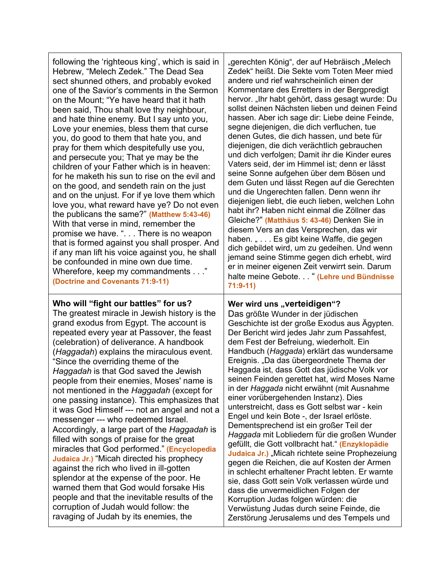| following the 'righteous king', which is said in<br>Hebrew, "Melech Zedek." The Dead Sea<br>sect shunned others, and probably evoked<br>one of the Savior's comments in the Sermon<br>on the Mount; "Ye have heard that it hath<br>been said, Thou shalt love thy neighbour,<br>and hate thine enemy. But I say unto you,<br>Love your enemies, bless them that curse<br>you, do good to them that hate you, and<br>pray for them which despitefully use you,<br>and persecute you; That ye may be the<br>children of your Father which is in heaven:<br>for he maketh his sun to rise on the evil and<br>on the good, and sendeth rain on the just<br>and on the unjust. For if ye love them which<br>love you, what reward have ye? Do not even<br>the publicans the same?" (Matthew 5:43-46)<br>With that verse in mind, remember the<br>promise we have. ". There is no weapon<br>that is formed against you shall prosper. And<br>if any man lift his voice against you, he shall<br>be confounded in mine own due time.<br>Wherefore, keep my commandments"<br>(Doctrine and Covenants 71:9-11) | "gerechten König", der auf Hebräisch "Melech<br>Zedek" heißt. Die Sekte vom Toten Meer mied<br>andere und rief wahrscheinlich einen der<br>Kommentare des Erretters in der Bergpredigt<br>hervor. "Ihr habt gehört, dass gesagt wurde: Du<br>sollst deinen Nächsten lieben und deinen Feind<br>hassen. Aber ich sage dir: Liebe deine Feinde,<br>segne diejenigen, die dich verfluchen, tue<br>denen Gutes, die dich hassen, und bete für<br>diejenigen, die dich verächtlich gebrauchen<br>und dich verfolgen; Damit ihr die Kinder eures<br>Vaters seid, der im Himmel ist; denn er lässt<br>seine Sonne aufgehen über dem Bösen und<br>dem Guten und lässt Regen auf die Gerechten<br>und die Ungerechten fallen. Denn wenn ihr<br>diejenigen liebt, die euch lieben, welchen Lohn<br>habt ihr? Haben nicht einmal die Zöllner das<br>Gleiche?" (Matthäus 5: 43-46) Denken Sie in<br>diesem Vers an das Versprechen, das wir<br>haben. " Es gibt keine Waffe, die gegen<br>dich gebildet wird, um zu gedeihen. Und wenn<br>jemand seine Stimme gegen dich erhebt, wird<br>er in meiner eigenen Zeit verwirrt sein. Darum<br>halte meine Gebote " (Lehre und Bündnisse<br>$71:9-11)$ |
|-------------------------------------------------------------------------------------------------------------------------------------------------------------------------------------------------------------------------------------------------------------------------------------------------------------------------------------------------------------------------------------------------------------------------------------------------------------------------------------------------------------------------------------------------------------------------------------------------------------------------------------------------------------------------------------------------------------------------------------------------------------------------------------------------------------------------------------------------------------------------------------------------------------------------------------------------------------------------------------------------------------------------------------------------------------------------------------------------------|----------------------------------------------------------------------------------------------------------------------------------------------------------------------------------------------------------------------------------------------------------------------------------------------------------------------------------------------------------------------------------------------------------------------------------------------------------------------------------------------------------------------------------------------------------------------------------------------------------------------------------------------------------------------------------------------------------------------------------------------------------------------------------------------------------------------------------------------------------------------------------------------------------------------------------------------------------------------------------------------------------------------------------------------------------------------------------------------------------------------------------------------------------------------------------------|
| Who will "fight our battles" for us?<br>The greatest miracle in Jewish history is the<br>grand exodus from Egypt. The account is<br>repeated every year at Passover, the feast<br>(celebration) of deliverance. A handbook<br>(Haggadah) explains the miraculous event.<br>"Since the overriding theme of the<br>Haggadah is that God saved the Jewish<br>people from their enemies, Moses' name is<br>not mentioned in the Haggadah (except for<br>one passing instance). This emphasizes that<br>it was God Himself --- not an angel and not a<br>messenger --- who redeemed Israel.<br>Accordingly, a large part of the Haggadah is<br>filled with songs of praise for the great<br>miracles that God performed." (Encyclopedia<br>Judaica Jr.) "Micah directed his prophecy<br>against the rich who lived in ill-gotten<br>splendor at the expense of the poor. He<br>warned them that God would forsake His<br>people and that the inevitable results of the                                                                                                                                     | Wer wird uns "verteidigen"?<br>Das größte Wunder in der jüdischen<br>Geschichte ist der große Exodus aus Ägypten.<br>Der Bericht wird jedes Jahr zum Passahfest,<br>dem Fest der Befreiung, wiederholt. Ein<br>Handbuch (Haggada) erklärt das wundersame<br>Ereignis. "Da das übergeordnete Thema der<br>Haggada ist, dass Gott das jüdische Volk vor<br>seinen Feinden gerettet hat, wird Moses Name<br>in der Haggada nicht erwähnt (mit Ausnahme<br>einer vorübergehenden Instanz). Dies<br>unterstreicht, dass es Gott selbst war - kein<br>Engel und kein Bote -, der Israel erlöste.<br>Dementsprechend ist ein großer Teil der<br>Haggada mit Lobliedern für die großen Wunder<br>gefüllt, die Gott vollbracht hat." (Enzyklopädie<br>Judaica Jr.) "Micah richtete seine Prophezeiung<br>gegen die Reichen, die auf Kosten der Armen<br>in schlecht erhaltener Pracht lebten. Er warnte<br>sie, dass Gott sein Volk verlassen würde und<br>dass die unvermeidlichen Folgen der<br>Korruption Judas folgen würden: die                                                                                                                                                           |

corruption of Judah would follow: the ravaging of Judah by its enemies, the Korruption Judas folgen würden: die Verwüstung Judas durch seine Feinde, die Zerstörung Jerusalems und des Tempels und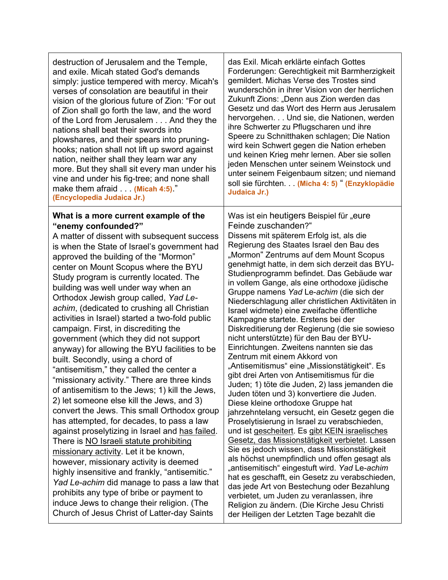| destruction of Jerusalem and the Temple,                                                                                                                                                                                                                                                                                                                                                                                                                                                                                                                                                                                                                                                                                                                                                                                                                                                                                                                                                                                                                                                                                                                                                                                                                                                                                                                                   | das Exil. Micah erklärte einfach Gottes                                                                                                                                                                                                                                                                                                                                                                                                                                                                                                                                                                                                                                                                                                                                                                                                                                                                                                                                                                                                                                                                                                                                                                                                                                                                                                                                                                                                                                                                                                           |
|----------------------------------------------------------------------------------------------------------------------------------------------------------------------------------------------------------------------------------------------------------------------------------------------------------------------------------------------------------------------------------------------------------------------------------------------------------------------------------------------------------------------------------------------------------------------------------------------------------------------------------------------------------------------------------------------------------------------------------------------------------------------------------------------------------------------------------------------------------------------------------------------------------------------------------------------------------------------------------------------------------------------------------------------------------------------------------------------------------------------------------------------------------------------------------------------------------------------------------------------------------------------------------------------------------------------------------------------------------------------------|---------------------------------------------------------------------------------------------------------------------------------------------------------------------------------------------------------------------------------------------------------------------------------------------------------------------------------------------------------------------------------------------------------------------------------------------------------------------------------------------------------------------------------------------------------------------------------------------------------------------------------------------------------------------------------------------------------------------------------------------------------------------------------------------------------------------------------------------------------------------------------------------------------------------------------------------------------------------------------------------------------------------------------------------------------------------------------------------------------------------------------------------------------------------------------------------------------------------------------------------------------------------------------------------------------------------------------------------------------------------------------------------------------------------------------------------------------------------------------------------------------------------------------------------------|
| and exile. Micah stated God's demands                                                                                                                                                                                                                                                                                                                                                                                                                                                                                                                                                                                                                                                                                                                                                                                                                                                                                                                                                                                                                                                                                                                                                                                                                                                                                                                                      | Forderungen: Gerechtigkeit mit Barmherzigkeit                                                                                                                                                                                                                                                                                                                                                                                                                                                                                                                                                                                                                                                                                                                                                                                                                                                                                                                                                                                                                                                                                                                                                                                                                                                                                                                                                                                                                                                                                                     |
| simply: justice tempered with mercy. Micah's                                                                                                                                                                                                                                                                                                                                                                                                                                                                                                                                                                                                                                                                                                                                                                                                                                                                                                                                                                                                                                                                                                                                                                                                                                                                                                                               | gemildert. Michas Verse des Trostes sind                                                                                                                                                                                                                                                                                                                                                                                                                                                                                                                                                                                                                                                                                                                                                                                                                                                                                                                                                                                                                                                                                                                                                                                                                                                                                                                                                                                                                                                                                                          |
| verses of consolation are beautiful in their                                                                                                                                                                                                                                                                                                                                                                                                                                                                                                                                                                                                                                                                                                                                                                                                                                                                                                                                                                                                                                                                                                                                                                                                                                                                                                                               | wunderschön in ihrer Vision von der herrlichen                                                                                                                                                                                                                                                                                                                                                                                                                                                                                                                                                                                                                                                                                                                                                                                                                                                                                                                                                                                                                                                                                                                                                                                                                                                                                                                                                                                                                                                                                                    |
| vision of the glorious future of Zion: "For out                                                                                                                                                                                                                                                                                                                                                                                                                                                                                                                                                                                                                                                                                                                                                                                                                                                                                                                                                                                                                                                                                                                                                                                                                                                                                                                            | Zukunft Zions: "Denn aus Zion werden das                                                                                                                                                                                                                                                                                                                                                                                                                                                                                                                                                                                                                                                                                                                                                                                                                                                                                                                                                                                                                                                                                                                                                                                                                                                                                                                                                                                                                                                                                                          |
| of Zion shall go forth the law, and the word                                                                                                                                                                                                                                                                                                                                                                                                                                                                                                                                                                                                                                                                                                                                                                                                                                                                                                                                                                                                                                                                                                                                                                                                                                                                                                                               | Gesetz und das Wort des Herrn aus Jerusalem                                                                                                                                                                                                                                                                                                                                                                                                                                                                                                                                                                                                                                                                                                                                                                                                                                                                                                                                                                                                                                                                                                                                                                                                                                                                                                                                                                                                                                                                                                       |
| of the Lord from Jerusalem And they the                                                                                                                                                                                                                                                                                                                                                                                                                                                                                                                                                                                                                                                                                                                                                                                                                                                                                                                                                                                                                                                                                                                                                                                                                                                                                                                                    | hervorgehen. Und sie, die Nationen, werden                                                                                                                                                                                                                                                                                                                                                                                                                                                                                                                                                                                                                                                                                                                                                                                                                                                                                                                                                                                                                                                                                                                                                                                                                                                                                                                                                                                                                                                                                                        |
| nations shall beat their swords into                                                                                                                                                                                                                                                                                                                                                                                                                                                                                                                                                                                                                                                                                                                                                                                                                                                                                                                                                                                                                                                                                                                                                                                                                                                                                                                                       | ihre Schwerter zu Pflugscharen und ihre                                                                                                                                                                                                                                                                                                                                                                                                                                                                                                                                                                                                                                                                                                                                                                                                                                                                                                                                                                                                                                                                                                                                                                                                                                                                                                                                                                                                                                                                                                           |
| plowshares, and their spears into pruning-                                                                                                                                                                                                                                                                                                                                                                                                                                                                                                                                                                                                                                                                                                                                                                                                                                                                                                                                                                                                                                                                                                                                                                                                                                                                                                                                 | Speere zu Schnitthaken schlagen; Die Nation                                                                                                                                                                                                                                                                                                                                                                                                                                                                                                                                                                                                                                                                                                                                                                                                                                                                                                                                                                                                                                                                                                                                                                                                                                                                                                                                                                                                                                                                                                       |
| hooks; nation shall not lift up sword against                                                                                                                                                                                                                                                                                                                                                                                                                                                                                                                                                                                                                                                                                                                                                                                                                                                                                                                                                                                                                                                                                                                                                                                                                                                                                                                              | wird kein Schwert gegen die Nation erheben                                                                                                                                                                                                                                                                                                                                                                                                                                                                                                                                                                                                                                                                                                                                                                                                                                                                                                                                                                                                                                                                                                                                                                                                                                                                                                                                                                                                                                                                                                        |
| nation, neither shall they learn war any                                                                                                                                                                                                                                                                                                                                                                                                                                                                                                                                                                                                                                                                                                                                                                                                                                                                                                                                                                                                                                                                                                                                                                                                                                                                                                                                   | und keinen Krieg mehr lernen. Aber sie sollen                                                                                                                                                                                                                                                                                                                                                                                                                                                                                                                                                                                                                                                                                                                                                                                                                                                                                                                                                                                                                                                                                                                                                                                                                                                                                                                                                                                                                                                                                                     |
| more. But they shall sit every man under his                                                                                                                                                                                                                                                                                                                                                                                                                                                                                                                                                                                                                                                                                                                                                                                                                                                                                                                                                                                                                                                                                                                                                                                                                                                                                                                               | jeden Menschen unter seinem Weinstock und                                                                                                                                                                                                                                                                                                                                                                                                                                                                                                                                                                                                                                                                                                                                                                                                                                                                                                                                                                                                                                                                                                                                                                                                                                                                                                                                                                                                                                                                                                         |
| vine and under his fig-tree; and none shall                                                                                                                                                                                                                                                                                                                                                                                                                                                                                                                                                                                                                                                                                                                                                                                                                                                                                                                                                                                                                                                                                                                                                                                                                                                                                                                                | unter seinem Feigenbaum sitzen; und niemand                                                                                                                                                                                                                                                                                                                                                                                                                                                                                                                                                                                                                                                                                                                                                                                                                                                                                                                                                                                                                                                                                                                                                                                                                                                                                                                                                                                                                                                                                                       |
| make them afraid (Micah 4:5)."                                                                                                                                                                                                                                                                                                                                                                                                                                                                                                                                                                                                                                                                                                                                                                                                                                                                                                                                                                                                                                                                                                                                                                                                                                                                                                                                             | soll sie fürchten (Micha 4: 5) " (Enzyklopädie                                                                                                                                                                                                                                                                                                                                                                                                                                                                                                                                                                                                                                                                                                                                                                                                                                                                                                                                                                                                                                                                                                                                                                                                                                                                                                                                                                                                                                                                                                    |
| (Encyclopedia Judaica Jr.)                                                                                                                                                                                                                                                                                                                                                                                                                                                                                                                                                                                                                                                                                                                                                                                                                                                                                                                                                                                                                                                                                                                                                                                                                                                                                                                                                 | Judaica Jr.)                                                                                                                                                                                                                                                                                                                                                                                                                                                                                                                                                                                                                                                                                                                                                                                                                                                                                                                                                                                                                                                                                                                                                                                                                                                                                                                                                                                                                                                                                                                                      |
| What is a more current example of the<br>"enemy confounded?"<br>A matter of dissent with subsequent success<br>is when the State of Israel's government had<br>approved the building of the "Mormon"<br>center on Mount Scopus where the BYU<br>Study program is currently located. The<br>building was well under way when an<br>Orthodox Jewish group called, Yad Le-<br>achim, (dedicated to crushing all Christian<br>activities in Israel) started a two-fold public<br>campaign. First, in discrediting the<br>government (which they did not support<br>anyway) for allowing the BYU facilities to be<br>built. Secondly, using a chord of<br>"antisemitism," they called the center a<br>"missionary activity." There are three kinds<br>of antisemitism to the Jews; 1) kill the Jews,<br>2) let someone else kill the Jews, and 3)<br>convert the Jews. This small Orthodox group<br>has attempted, for decades, to pass a law<br>against proselytizing in Israel and has failed.<br>There is <b>NO Israeli statute prohibiting</b><br>missionary activity. Let it be known,<br>however, missionary activity is deemed<br>highly insensitive and frankly, "antisemitic."<br>Yad Le-achim did manage to pass a law that<br>prohibits any type of bribe or payment to<br>induce Jews to change their religion. (The<br>Church of Jesus Christ of Latter-day Saints | Was ist ein heutigers Beispiel für "eure<br>Feinde zuschanden?"<br>Dissens mit späterem Erfolg ist, als die<br>Regierung des Staates Israel den Bau des<br>"Mormon" Zentrums auf dem Mount Scopus<br>genehmigt hatte, in dem sich derzeit das BYU-<br>Studienprogramm befindet. Das Gebäude war<br>in vollem Gange, als eine orthodoxe jüdische<br>Gruppe namens Yad Le-achim (die sich der<br>Niederschlagung aller christlichen Aktivitäten in<br>Israel widmete) eine zweifache öffentliche<br>Kampagne startete. Erstens bei der<br>Diskreditierung der Regierung (die sie sowieso<br>nicht unterstützte) für den Bau der BYU-<br>Einrichtungen. Zweitens nannten sie das<br>Zentrum mit einem Akkord von<br>"Antisemitismus" eine "Missionstätigkeit". Es<br>gibt drei Arten von Antisemitismus für die<br>Juden; 1) töte die Juden, 2) lass jemanden die<br>Juden töten und 3) konvertiere die Juden.<br>Diese kleine orthodoxe Gruppe hat<br>jahrzehntelang versucht, ein Gesetz gegen die<br>Proselytisierung in Israel zu verabschieden,<br>und ist gescheitert. Es gibt KEIN israelisches<br>Gesetz, das Missionstätigkeit verbietet. Lassen<br>Sie es jedoch wissen, dass Missionstätigkeit<br>als höchst unempfindlich und offen gesagt als<br>"antisemitisch" eingestuft wird. Yad Le-achim<br>hat es geschafft, ein Gesetz zu verabschieden,<br>das jede Art von Bestechung oder Bezahlung<br>verbietet, um Juden zu veranlassen, ihre<br>Religion zu ändern. (Die Kirche Jesu Christi<br>der Heiligen der Letzten Tage bezahlt die |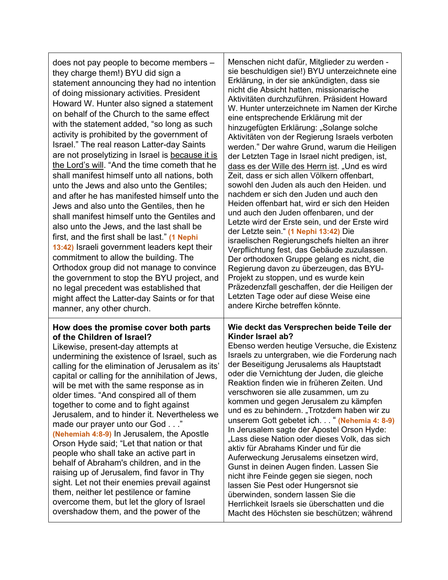| does not pay people to become members -<br>they charge them!) BYU did sign a<br>statement announcing they had no intention<br>of doing missionary activities. President<br>Howard W. Hunter also signed a statement<br>on behalf of the Church to the same effect<br>with the statement added, "so long as such<br>activity is prohibited by the government of<br>Israel." The real reason Latter-day Saints<br>are not proselytizing in Israel is because it is<br>the Lord's will. "And the time cometh that he<br>shall manifest himself unto all nations, both<br>unto the Jews and also unto the Gentiles;<br>and after he has manifested himself unto the<br>Jews and also unto the Gentiles, then he<br>shall manifest himself unto the Gentiles and<br>also unto the Jews, and the last shall be<br>first, and the first shall be last." (1 Nephi<br>13:42) Israeli government leaders kept their<br>commitment to allow the building. The<br>Orthodox group did not manage to convince<br>the government to stop the BYU project, and<br>no legal precedent was established that<br>might affect the Latter-day Saints or for that<br>manner, any other church. | Menschen nicht dafür, Mitglieder zu werden -<br>sie beschuldigen sie!) BYU unterzeichnete eine<br>Erklärung, in der sie ankündigten, dass sie<br>nicht die Absicht hatten, missionarische<br>Aktivitäten durchzuführen. Präsident Howard<br>W. Hunter unterzeichnete im Namen der Kirche<br>eine entsprechende Erklärung mit der<br>hinzugefügten Erklärung: "Solange solche<br>Aktivitäten von der Regierung Israels verboten<br>werden." Der wahre Grund, warum die Heiligen<br>der Letzten Tage in Israel nicht predigen, ist,<br>dass es der Wille des Herrn ist. "Und es wird<br>Zeit, dass er sich allen Völkern offenbart,<br>sowohl den Juden als auch den Heiden. und<br>nachdem er sich den Juden und auch den<br>Heiden offenbart hat, wird er sich den Heiden<br>und auch den Juden offenbaren, und der<br>Letzte wird der Erste sein, und der Erste wird<br>der Letzte sein." (1 Nephi 13:42) Die<br>israelischen Regierungschefs hielten an ihrer<br>Verpflichtung fest, das Gebäude zuzulassen.<br>Der orthodoxen Gruppe gelang es nicht, die<br>Regierung davon zu überzeugen, das BYU-<br>Projekt zu stoppen, und es wurde kein<br>Präzedenzfall geschaffen, der die Heiligen der<br>Letzten Tage oder auf diese Weise eine<br>andere Kirche betreffen könnte. |
|--------------------------------------------------------------------------------------------------------------------------------------------------------------------------------------------------------------------------------------------------------------------------------------------------------------------------------------------------------------------------------------------------------------------------------------------------------------------------------------------------------------------------------------------------------------------------------------------------------------------------------------------------------------------------------------------------------------------------------------------------------------------------------------------------------------------------------------------------------------------------------------------------------------------------------------------------------------------------------------------------------------------------------------------------------------------------------------------------------------------------------------------------------------------------|---------------------------------------------------------------------------------------------------------------------------------------------------------------------------------------------------------------------------------------------------------------------------------------------------------------------------------------------------------------------------------------------------------------------------------------------------------------------------------------------------------------------------------------------------------------------------------------------------------------------------------------------------------------------------------------------------------------------------------------------------------------------------------------------------------------------------------------------------------------------------------------------------------------------------------------------------------------------------------------------------------------------------------------------------------------------------------------------------------------------------------------------------------------------------------------------------------------------------------------------------------------------------------|
| How does the promise cover both parts<br>of the Children of Israel?<br>Likewise, present-day attempts at<br>undermining the existence of Israel, such as<br>calling for the elimination of Jerusalem as its'<br>capital or calling for the annihilation of Jews,<br>will be met with the same response as in<br>older times. "And conspired all of them<br>together to come and to fight against<br>Jerusalem, and to hinder it. Nevertheless we<br>made our prayer unto our God"<br>(Nehemiah 4:8-9) In Jerusalem, the Apostle<br>Orson Hyde said; "Let that nation or that<br>people who shall take an active part in<br>behalf of Abraham's children, and in the<br>raising up of Jerusalem, find favor in Thy<br>sight. Let not their enemies prevail against<br>them, neither let pestilence or famine<br>overcome them, but let the glory of Israel<br>overshadow them, and the power of the                                                                                                                                                                                                                                                                       | Wie deckt das Versprechen beide Teile der<br>Kinder Israel ab?<br>Ebenso werden heutige Versuche, die Existenz<br>Israels zu untergraben, wie die Forderung nach<br>der Beseitigung Jerusalems als Hauptstadt<br>oder die Vernichtung der Juden, die gleiche<br>Reaktion finden wie in früheren Zeiten. Und<br>verschworen sie alle zusammen, um zu<br>kommen und gegen Jerusalem zu kämpfen<br>und es zu behindern. "Trotzdem haben wir zu<br>unserem Gott gebetet ich. " (Nehemia 4: 8-9)<br>In Jerusalem sagte der Apostel Orson Hyde:<br>"Lass diese Nation oder dieses Volk, das sich<br>aktiv für Abrahams Kinder und für die<br>Auferweckung Jerusalems einsetzen wird,<br>Gunst in deinen Augen finden. Lassen Sie<br>nicht ihre Feinde gegen sie siegen, noch<br>lassen Sie Pest oder Hungersnot sie<br>überwinden, sondern lassen Sie die<br>Herrlichkeit Israels sie überschatten und die<br>Macht des Höchsten sie beschützen; während                                                                                                                                                                                                                                                                                                                              |

T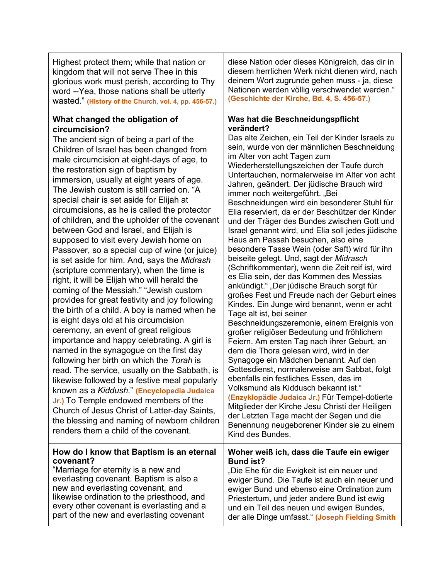| Highest protect them; while that nation or                                                                                                                                                                                                                                                                                                                                                                                                                                                                                                                                                                                                                                                                                                                                                                                                                                                                                                                                                                                                                                                                                                                                                                                                                                                                                                                                                                                                                    | diese Nation oder dieses Königreich, das dir in                                                                                                                                                                                                                                                                                                                                                                                                                                                                                                                                                                                                                                                                                                                                                                                                                                                                                                                                                                                                                                                                                                                                                                                                                                                                                                                                                                                                                                                                                                                        |
|---------------------------------------------------------------------------------------------------------------------------------------------------------------------------------------------------------------------------------------------------------------------------------------------------------------------------------------------------------------------------------------------------------------------------------------------------------------------------------------------------------------------------------------------------------------------------------------------------------------------------------------------------------------------------------------------------------------------------------------------------------------------------------------------------------------------------------------------------------------------------------------------------------------------------------------------------------------------------------------------------------------------------------------------------------------------------------------------------------------------------------------------------------------------------------------------------------------------------------------------------------------------------------------------------------------------------------------------------------------------------------------------------------------------------------------------------------------|------------------------------------------------------------------------------------------------------------------------------------------------------------------------------------------------------------------------------------------------------------------------------------------------------------------------------------------------------------------------------------------------------------------------------------------------------------------------------------------------------------------------------------------------------------------------------------------------------------------------------------------------------------------------------------------------------------------------------------------------------------------------------------------------------------------------------------------------------------------------------------------------------------------------------------------------------------------------------------------------------------------------------------------------------------------------------------------------------------------------------------------------------------------------------------------------------------------------------------------------------------------------------------------------------------------------------------------------------------------------------------------------------------------------------------------------------------------------------------------------------------------------------------------------------------------------|
| kingdom that will not serve Thee in this                                                                                                                                                                                                                                                                                                                                                                                                                                                                                                                                                                                                                                                                                                                                                                                                                                                                                                                                                                                                                                                                                                                                                                                                                                                                                                                                                                                                                      | diesem herrlichen Werk nicht dienen wird, nach                                                                                                                                                                                                                                                                                                                                                                                                                                                                                                                                                                                                                                                                                                                                                                                                                                                                                                                                                                                                                                                                                                                                                                                                                                                                                                                                                                                                                                                                                                                         |
| glorious work must perish, according to Thy                                                                                                                                                                                                                                                                                                                                                                                                                                                                                                                                                                                                                                                                                                                                                                                                                                                                                                                                                                                                                                                                                                                                                                                                                                                                                                                                                                                                                   | deinem Wort zugrunde gehen muss - ja, diese                                                                                                                                                                                                                                                                                                                                                                                                                                                                                                                                                                                                                                                                                                                                                                                                                                                                                                                                                                                                                                                                                                                                                                                                                                                                                                                                                                                                                                                                                                                            |
| word --Yea, those nations shall be utterly                                                                                                                                                                                                                                                                                                                                                                                                                                                                                                                                                                                                                                                                                                                                                                                                                                                                                                                                                                                                                                                                                                                                                                                                                                                                                                                                                                                                                    | Nationen werden völlig verschwendet werden."                                                                                                                                                                                                                                                                                                                                                                                                                                                                                                                                                                                                                                                                                                                                                                                                                                                                                                                                                                                                                                                                                                                                                                                                                                                                                                                                                                                                                                                                                                                           |
| Wasted." (History of the Church, vol. 4, pp. 456-57.)                                                                                                                                                                                                                                                                                                                                                                                                                                                                                                                                                                                                                                                                                                                                                                                                                                                                                                                                                                                                                                                                                                                                                                                                                                                                                                                                                                                                         | (Geschichte der Kirche, Bd. 4, S. 456-57.)                                                                                                                                                                                                                                                                                                                                                                                                                                                                                                                                                                                                                                                                                                                                                                                                                                                                                                                                                                                                                                                                                                                                                                                                                                                                                                                                                                                                                                                                                                                             |
| What changed the obligation of<br>circumcision?<br>The ancient sign of being a part of the<br>Children of Israel has been changed from<br>male circumcision at eight-days of age, to<br>the restoration sign of baptism by<br>immersion, usually at eight years of age.<br>The Jewish custom is still carried on. "A<br>special chair is set aside for Elijah at<br>circumcisions, as he is called the protector<br>of children, and the upholder of the covenant<br>between God and Israel, and Elijah is<br>supposed to visit every Jewish home on<br>Passover, so a special cup of wine (or juice)<br>is set aside for him. And, says the Midrash<br>(scripture commentary), when the time is<br>right, it will be Elijah who will herald the<br>coming of the Messiah." "Jewish custom<br>provides for great festivity and joy following<br>the birth of a child. A boy is named when he<br>is eight days old at his circumcision<br>ceremony, an event of great religious<br>importance and happy celebrating. A girl is<br>named in the synagogue on the first day<br>following her birth on which the Torah is<br>read. The service, usually on the Sabbath, is<br>likewise followed by a festive meal popularly<br>known as a Kiddush." (Encyclopedia Judaica<br><b>Jr.)</b> To Temple endowed members of the<br>Church of Jesus Christ of Latter-day Saints,<br>the blessing and naming of newborn children<br>renders them a child of the covenant. | Was hat die Beschneidungspflicht<br>verändert?<br>Das alte Zeichen, ein Teil der Kinder Israels zu<br>sein, wurde von der männlichen Beschneidung<br>im Alter von acht Tagen zum<br>Wiederherstellungszeichen der Taufe durch<br>Untertauchen, normalerweise im Alter von acht<br>Jahren, geändert. Der jüdische Brauch wird<br>immer noch weitergeführt. "Bei<br>Beschneidungen wird ein besonderer Stuhl für<br>Elia reserviert, da er der Beschützer der Kinder<br>und der Träger des Bundes zwischen Gott und<br>Israel genannt wird, und Elia soll jedes jüdische<br>Haus am Passah besuchen, also eine<br>besondere Tasse Wein (oder Saft) wird für ihn<br>beiseite gelegt. Und, sagt der Midrasch<br>(Schriftkommentar), wenn die Zeit reif ist, wird<br>es Elia sein, der das Kommen des Messias<br>ankündigt." "Der jüdische Brauch sorgt für<br>großes Fest und Freude nach der Geburt eines<br>Kindes. Ein Junge wird benannt, wenn er acht<br>Tage alt ist, bei seiner<br>Beschneidungszeremonie, einem Ereignis von<br>großer religiöser Bedeutung und fröhlichem<br>Feiern. Am ersten Tag nach ihrer Geburt, an<br>dem die Thora gelesen wird, wird in der<br>Synagoge ein Mädchen benannt. Auf den<br>Gottesdienst, normalerweise am Sabbat, folgt<br>ebenfalls ein festliches Essen, das im<br>Volksmund als Kiddusch bekannt ist."<br>(Enzyklopädie Judaica Jr.) Für Tempel-dotierte<br>Mitglieder der Kirche Jesu Christi der Heiligen<br>der Letzten Tage macht der Segen und die<br>Benennung neugeborener Kinder sie zu einem<br>Kind des Bundes. |
| How do I know that Baptism is an eternal                                                                                                                                                                                                                                                                                                                                                                                                                                                                                                                                                                                                                                                                                                                                                                                                                                                                                                                                                                                                                                                                                                                                                                                                                                                                                                                                                                                                                      | Woher weiß ich, dass die Taufe ein ewiger                                                                                                                                                                                                                                                                                                                                                                                                                                                                                                                                                                                                                                                                                                                                                                                                                                                                                                                                                                                                                                                                                                                                                                                                                                                                                                                                                                                                                                                                                                                              |
| covenant?                                                                                                                                                                                                                                                                                                                                                                                                                                                                                                                                                                                                                                                                                                                                                                                                                                                                                                                                                                                                                                                                                                                                                                                                                                                                                                                                                                                                                                                     | <b>Bund ist?</b>                                                                                                                                                                                                                                                                                                                                                                                                                                                                                                                                                                                                                                                                                                                                                                                                                                                                                                                                                                                                                                                                                                                                                                                                                                                                                                                                                                                                                                                                                                                                                       |
| "Marriage for eternity is a new and                                                                                                                                                                                                                                                                                                                                                                                                                                                                                                                                                                                                                                                                                                                                                                                                                                                                                                                                                                                                                                                                                                                                                                                                                                                                                                                                                                                                                           | "Die Ehe für die Ewigkeit ist ein neuer und                                                                                                                                                                                                                                                                                                                                                                                                                                                                                                                                                                                                                                                                                                                                                                                                                                                                                                                                                                                                                                                                                                                                                                                                                                                                                                                                                                                                                                                                                                                            |
| everlasting covenant. Baptism is also a                                                                                                                                                                                                                                                                                                                                                                                                                                                                                                                                                                                                                                                                                                                                                                                                                                                                                                                                                                                                                                                                                                                                                                                                                                                                                                                                                                                                                       | ewiger Bund. Die Taufe ist auch ein neuer und                                                                                                                                                                                                                                                                                                                                                                                                                                                                                                                                                                                                                                                                                                                                                                                                                                                                                                                                                                                                                                                                                                                                                                                                                                                                                                                                                                                                                                                                                                                          |
| new and everlasting covenant, and                                                                                                                                                                                                                                                                                                                                                                                                                                                                                                                                                                                                                                                                                                                                                                                                                                                                                                                                                                                                                                                                                                                                                                                                                                                                                                                                                                                                                             | ewiger Bund und ebenso eine Ordination zum                                                                                                                                                                                                                                                                                                                                                                                                                                                                                                                                                                                                                                                                                                                                                                                                                                                                                                                                                                                                                                                                                                                                                                                                                                                                                                                                                                                                                                                                                                                             |
| likewise ordination to the priesthood, and                                                                                                                                                                                                                                                                                                                                                                                                                                                                                                                                                                                                                                                                                                                                                                                                                                                                                                                                                                                                                                                                                                                                                                                                                                                                                                                                                                                                                    | Priestertum, und jeder andere Bund ist ewig                                                                                                                                                                                                                                                                                                                                                                                                                                                                                                                                                                                                                                                                                                                                                                                                                                                                                                                                                                                                                                                                                                                                                                                                                                                                                                                                                                                                                                                                                                                            |
| every other covenant is everlasting and a                                                                                                                                                                                                                                                                                                                                                                                                                                                                                                                                                                                                                                                                                                                                                                                                                                                                                                                                                                                                                                                                                                                                                                                                                                                                                                                                                                                                                     | und ein Teil des neuen und ewigen Bundes,                                                                                                                                                                                                                                                                                                                                                                                                                                                                                                                                                                                                                                                                                                                                                                                                                                                                                                                                                                                                                                                                                                                                                                                                                                                                                                                                                                                                                                                                                                                              |
| part of the new and everlasting covenant                                                                                                                                                                                                                                                                                                                                                                                                                                                                                                                                                                                                                                                                                                                                                                                                                                                                                                                                                                                                                                                                                                                                                                                                                                                                                                                                                                                                                      | der alle Dinge umfasst." (Joseph Fielding Smith                                                                                                                                                                                                                                                                                                                                                                                                                                                                                                                                                                                                                                                                                                                                                                                                                                                                                                                                                                                                                                                                                                                                                                                                                                                                                                                                                                                                                                                                                                                        |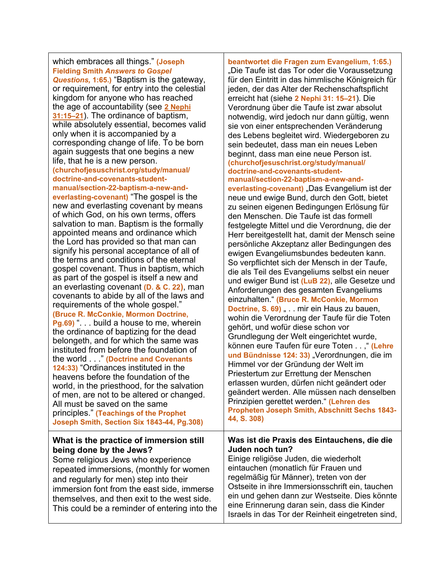which embraces all things." **(Joseph Fielding Smith** *Answers to Gospel Questions,* **1:65.)** "Baptism is the gateway, or requirement, for entry into the celestial kingdom for anyone who has reached the age of accountability (see **2 [Nephi](https://www.churchofjesuschrist.org/study/scriptures/bofm/2-ne/31.15-21?lang=eng#p15) [31:15–21](https://www.churchofjesuschrist.org/study/scriptures/bofm/2-ne/31.15-21?lang=eng#p15)**). The ordinance of baptism, while absolutely essential, becomes valid only when it is accompanied by a corresponding change of life. To be born again suggests that one begins a new life, that he is a new person. **(churchofjesuschrist.org/study/manual/ doctrine-and-covenants-studentmanual/section-22-baptism-a-new-andeverlasting-covenant)** "The gospel is the new and everlasting covenant by means of which God, on his own terms, offers salvation to man. Baptism is the formally appointed means and ordinance which the Lord has provided so that man can signify his personal acceptance of all of the terms and conditions of the eternal gospel covenant. Thus in baptism, which as part of the gospel is itself a new and an everlasting covenant **(D. & C. 22)**, man covenants to abide by all of the laws and requirements of the whole gospel." **(Bruce R. McConkie, Mormon Doctrine, Pg.69)** ". . . build a house to me, wherein the ordinance of baptizing for the dead belongeth, and for which the same was instituted from before the foundation of the world . . ." **(Doctrine and Covenants 124:33)** "Ordinances instituted in the heavens before the foundation of the world, in the priesthood, for the salvation of men, are not to be altered or changed. All must be saved on the same principles." **(Teachings of the Prophet Joseph Smith, Section Six 1843-44, Pg.308) What is the practice of immersion still being done by the Jews?**

Some religious Jews who experience repeated immersions, (monthly for women and regularly for men) step into their immersion font from the east side, immerse themselves, and then exit to the west side. This could be a reminder of entering into the

**beantwortet die Fragen zum Evangelium, 1:65.)** "Die Taufe ist das Tor oder die Voraussetzung für den Eintritt in das himmlische Königreich für jeden, der das Alter der Rechenschaftspflicht erreicht hat (siehe **2 Nephi 31: 15–21**). Die Verordnung über die Taufe ist zwar absolut notwendig, wird jedoch nur dann gültig, wenn sie von einer entsprechenden Veränderung des Lebens begleitet wird. Wiedergeboren zu sein bedeutet, dass man ein neues Leben beginnt, dass man eine neue Person ist. **(churchofjesuschrist.org/study/manual/ doctrine-and-covenants-student-**

**manual/section-22-baptism-a-new-andeverlasting-covenant)** "Das Evangelium ist der neue und ewige Bund, durch den Gott, bietet zu seinen eigenen Bedingungen Erlösung für den Menschen. Die Taufe ist das formell festgelegte Mittel und die Verordnung, die der Herr bereitgestellt hat, damit der Mensch seine persönliche Akzeptanz aller Bedingungen des ewigen Evangeliumsbundes bedeuten kann. So verpflichtet sich der Mensch in der Taufe, die als Teil des Evangeliums selbst ein neuer und ewiger Bund ist **(LuB 22)**, alle Gesetze und Anforderungen des gesamten Evangeliums einzuhalten." **(Bruce R. McConkie, Mormon Doctrine, S. 69)** . . . mir ein Haus zu bauen, wohin die Verordnung der Taufe für die Toten gehört, und wofür diese schon vor Grundlegung der Welt eingerichtet wurde, können eure Taufen für eure Toten . . ," **(Lehre**  und Bündnisse 124: 33) "Verordnungen, die im Himmel vor der Gründung der Welt im Priestertum zur Errettung der Menschen erlassen wurden, dürfen nicht geändert oder geändert werden. Alle müssen nach denselben Prinzipien gerettet werden." **(Lehren des Propheten Joseph Smith, Abschnitt Sechs 1843- 44, S. 308)**

#### **Was ist die Praxis des Eintauchens, die die Juden noch tun?**

Einige religiöse Juden, die wiederholt eintauchen (monatlich für Frauen und regelmäßig für Männer), treten von der Ostseite in ihre Immersionsschrift ein, tauchen ein und gehen dann zur Westseite. Dies könnte eine Erinnerung daran sein, dass die Kinder Israels in das Tor der Reinheit eingetreten sind,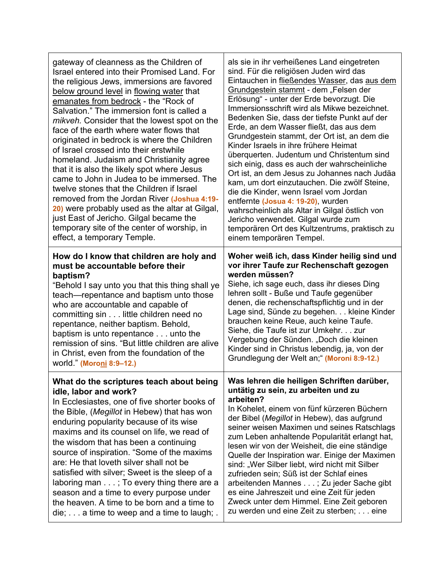| gateway of cleanness as the Children of<br>Israel entered into their Promised Land. For<br>the religious Jews, immersions are favored<br>below ground level in flowing water that<br>emanates from bedrock - the "Rock of<br>Salvation." The immersion font is called a<br>mikveh. Consider that the lowest spot on the<br>face of the earth where water flows that<br>originated in bedrock is where the Children<br>of Israel crossed into their erstwhile<br>homeland. Judaism and Christianity agree<br>that it is also the likely spot where Jesus<br>came to John in Judea to be immersed. The<br>twelve stones that the Children if Israel<br>removed from the Jordan River (Joshua 4:19-<br>20) were probably used as the altar at Gilgal,<br>just East of Jericho. Gilgal became the<br>temporary site of the center of worship, in<br>effect, a temporary Temple. | als sie in ihr verheißenes Land eingetreten<br>sind. Für die religiösen Juden wird das<br>Eintauchen in fließendes Wasser, das aus dem<br>Grundgestein stammt - dem "Felsen der<br>Erlösung" - unter der Erde bevorzugt. Die<br>Immersionsschrift wird als Mikwe bezeichnet.<br>Bedenken Sie, dass der tiefste Punkt auf der<br>Erde, an dem Wasser fließt, das aus dem<br>Grundgestein stammt, der Ort ist, an dem die<br>Kinder Israels in ihre frühere Heimat<br>überquerten. Judentum und Christentum sind<br>sich einig, dass es auch der wahrscheinliche<br>Ort ist, an dem Jesus zu Johannes nach Judäa<br>kam, um dort einzutauchen. Die zwölf Steine,<br>die die Kinder, wenn Israel vom Jordan<br>entfernte (Josua 4: 19-20), wurden<br>wahrscheinlich als Altar in Gilgal östlich von<br>Jericho verwendet. Gilgal wurde zum<br>temporären Ort des Kultzentrums, praktisch zu<br>einem temporären Tempel. |
|-----------------------------------------------------------------------------------------------------------------------------------------------------------------------------------------------------------------------------------------------------------------------------------------------------------------------------------------------------------------------------------------------------------------------------------------------------------------------------------------------------------------------------------------------------------------------------------------------------------------------------------------------------------------------------------------------------------------------------------------------------------------------------------------------------------------------------------------------------------------------------|----------------------------------------------------------------------------------------------------------------------------------------------------------------------------------------------------------------------------------------------------------------------------------------------------------------------------------------------------------------------------------------------------------------------------------------------------------------------------------------------------------------------------------------------------------------------------------------------------------------------------------------------------------------------------------------------------------------------------------------------------------------------------------------------------------------------------------------------------------------------------------------------------------------------|
| How do I know that children are holy and<br>must be accountable before their<br>baptism?<br>"Behold I say unto you that this thing shall ye<br>teach-repentance and baptism unto those<br>who are accountable and capable of<br>committing sin little children need no<br>repentance, neither baptism. Behold,<br>baptism is unto repentance unto the<br>remission of sins. "But little children are alive<br>in Christ, even from the foundation of the<br>world." (Moroni 8:9-12.)                                                                                                                                                                                                                                                                                                                                                                                        | Woher weiß ich, dass Kinder heilig sind und<br>vor ihrer Taufe zur Rechenschaft gezogen<br>werden müssen?<br>Siehe, ich sage euch, dass ihr dieses Ding<br>lehren sollt - Buße und Taufe gegenüber<br>denen, die rechenschaftspflichtig und in der<br>Lage sind, Sünde zu begehen. kleine Kinder<br>brauchen keine Reue, auch keine Taufe.<br>Siehe, die Taufe ist zur Umkehr. zur<br>Vergebung der Sünden. "Doch die kleinen<br>Kinder sind in Christus lebendig, ja, von der<br>Grundlegung der Welt an," (Moroni 8:9-12.)                                                                                                                                                                                                                                                                                                                                                                                         |
| What do the scriptures teach about being<br>idle, labor and work?<br>In Ecclesiastes, one of five shorter books of<br>the Bible, (Megillot in Hebew) that has won<br>enduring popularity because of its wise<br>maxims and its counsel on life, we read of<br>the wisdom that has been a continuing<br>source of inspiration. "Some of the maxims<br>are: He that loveth silver shall not be<br>satisfied with silver; Sweet is the sleep of a<br>laboring man; To every thing there are a<br>season and a time to every purpose under<br>the heaven. A time to be born and a time to<br>$\mathsf{die}$ ;  a time to weep and a time to laugh; .                                                                                                                                                                                                                            | Was lehren die heiligen Schriften darüber,<br>untätig zu sein, zu arbeiten und zu<br>arbeiten?<br>In Kohelet, einem von fünf kürzeren Büchern<br>der Bibel (Megillot in Hebew), das aufgrund<br>seiner weisen Maximen und seines Ratschlags<br>zum Leben anhaltende Popularität erlangt hat,<br>lesen wir von der Weisheit, die eine ständige<br>Quelle der Inspiration war. Einige der Maximen<br>sind: "Wer Silber liebt, wird nicht mit Silber<br>zufrieden sein; Süß ist der Schlaf eines<br>arbeitenden Mannes ; Zu jeder Sache gibt<br>es eine Jahreszeit und eine Zeit für jeden<br>Zweck unter dem Himmel. Eine Zeit geboren<br>zu werden und eine Zeit zu sterben; eine                                                                                                                                                                                                                                     |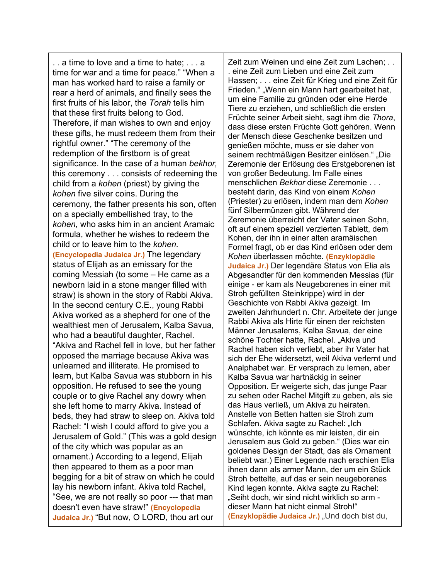. . a time to love and a time to hate; . . . a time for war and a time for peace." "When a man has worked hard to raise a family or rear a herd of animals, and finally sees the first fruits of his labor, the *Torah* tells him that these first fruits belong to God. Therefore, if man wishes to own and enjoy these gifts, he must redeem them from their rightful owner." "The ceremony of the redemption of the firstborn is of great significance. In the case of a human *bekhor,*  this ceremony . . . consists of redeeming the child from a *kohen* (priest) by giving the *kohen* five silver coins. During the ceremony, the father presents his son, often on a specially embellished tray, to the *kohen,* who asks him in an ancient Aramaic formula, whether he wishes to redeem the child or to leave him to the *kohen.* **(Encyclopedia Judaica Jr.)** The legendary status of Elijah as an emissary for the coming Messiah (to some – He came as a newborn laid in a stone manger filled with straw) is shown in the story of Rabbi Akiva. In the second century C.E., young Rabbi Akiva worked as a shepherd for one of the wealthiest men of Jerusalem, Kalba Savua, who had a beautiful daughter, Rachel. "Akiva and Rachel fell in love, but her father opposed the marriage because Akiva was unlearned and illiterate. He promised to learn, but Kalba Savua was stubborn in his opposition. He refused to see the young couple or to give Rachel any dowry when she left home to marry Akiva. Instead of beds, they had straw to sleep on. Akiva told Rachel: "I wish I could afford to give you a Jerusalem of Gold." (This was a gold design of the city which was popular as an ornament.) According to a legend, Elijah then appeared to them as a poor man begging for a bit of straw on which he could lay his newborn infant. Akiva told Rachel, "See, we are not really so poor --- that man doesn't even have straw!" **(Encyclopedia Judaica Jr.)** "But now, O LORD, thou art our

Zeit zum Weinen und eine Zeit zum Lachen; . . . eine Zeit zum Lieben und eine Zeit zum Hassen; . . . eine Zeit für Krieg und eine Zeit für Frieden." "Wenn ein Mann hart gearbeitet hat, um eine Familie zu gründen oder eine Herde Tiere zu erziehen, und schließlich die ersten Früchte seiner Arbeit sieht, sagt ihm die *Thora*, dass diese ersten Früchte Gott gehören. Wenn der Mensch diese Geschenke besitzen und genießen möchte, muss er sie daher von seinem rechtmäßigen Besitzer einlösen." "Die Zeremonie der Erlösung des Erstgeborenen ist von großer Bedeutung. Im Falle eines menschlichen *Bekhor* diese Zeremonie . . . besteht darin, das Kind von einem *Kohen* (Priester) zu erlösen, indem man dem *Kohen* fünf Silbermünzen gibt. Während der Zeremonie überreicht der Vater seinen Sohn, oft auf einem speziell verzierten Tablett, dem Kohen, der ihn in einer alten aramäischen Formel fragt, ob er das Kind erlösen oder dem *Kohen* überlassen möchte. **(Enzyklopädie Judaica Jr.)** Der legendäre Status von Elia als Abgesandter für den kommenden Messias (für einige - er kam als Neugeborenes in einer mit Stroh gefüllten Steinkrippe) wird in der Geschichte von Rabbi Akiva gezeigt. Im zweiten Jahrhundert n. Chr. Arbeitete der junge Rabbi Akiva als Hirte für einen der reichsten Männer Jerusalems, Kalba Savua, der eine schöne Tochter hatte, Rachel. "Akiva und Rachel haben sich verliebt, aber ihr Vater hat sich der Ehe widersetzt, weil Akiva verlernt und Analphabet war. Er versprach zu lernen, aber Kalba Savua war hartnäckig in seiner Opposition. Er weigerte sich, das junge Paar zu sehen oder Rachel Mitgift zu geben, als sie das Haus verließ, um Akiva zu heiraten. Anstelle von Betten hatten sie Stroh zum Schlafen. Akiva sagte zu Rachel: "Ich wünschte, ich könnte es mir leisten, dir ein Jerusalem aus Gold zu geben." (Dies war ein goldenes Design der Stadt, das als Ornament beliebt war.) Einer Legende nach erschien Elia ihnen dann als armer Mann, der um ein Stück Stroh bettelte, auf das er sein neugeborenes Kind legen konnte. Akiva sagte zu Rachel: "Seiht doch, wir sind nicht wirklich so arm dieser Mann hat nicht einmal Stroh!" **(Enzyklopädie Judaica Jr.)** "Und doch bist du,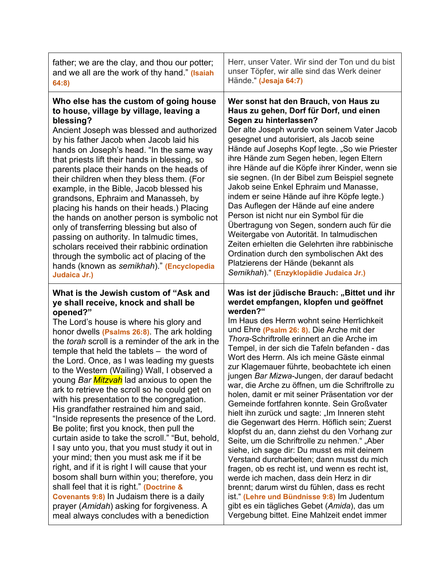| father; we are the clay, and thou our potter;                                                                                                                                                                                                                                                                                                                                                                                                                                                                                                                                                                                                                                                                                                                                                                                                                                                                                                                                                                                                                                                                          | Herr, unser Vater. Wir sind der Ton und du bist                                                                                                                                                                                                                                                                                                                                                                                                                                                                                                                                                                                                                                                                                                                                                                                                                                                                                                                                                                                                                                                                                                                                            |
|------------------------------------------------------------------------------------------------------------------------------------------------------------------------------------------------------------------------------------------------------------------------------------------------------------------------------------------------------------------------------------------------------------------------------------------------------------------------------------------------------------------------------------------------------------------------------------------------------------------------------------------------------------------------------------------------------------------------------------------------------------------------------------------------------------------------------------------------------------------------------------------------------------------------------------------------------------------------------------------------------------------------------------------------------------------------------------------------------------------------|--------------------------------------------------------------------------------------------------------------------------------------------------------------------------------------------------------------------------------------------------------------------------------------------------------------------------------------------------------------------------------------------------------------------------------------------------------------------------------------------------------------------------------------------------------------------------------------------------------------------------------------------------------------------------------------------------------------------------------------------------------------------------------------------------------------------------------------------------------------------------------------------------------------------------------------------------------------------------------------------------------------------------------------------------------------------------------------------------------------------------------------------------------------------------------------------|
| and we all are the work of thy hand." (Isaiah                                                                                                                                                                                                                                                                                                                                                                                                                                                                                                                                                                                                                                                                                                                                                                                                                                                                                                                                                                                                                                                                          | unser Töpfer, wir alle sind das Werk deiner                                                                                                                                                                                                                                                                                                                                                                                                                                                                                                                                                                                                                                                                                                                                                                                                                                                                                                                                                                                                                                                                                                                                                |
| 64:8)                                                                                                                                                                                                                                                                                                                                                                                                                                                                                                                                                                                                                                                                                                                                                                                                                                                                                                                                                                                                                                                                                                                  | Hände." (Jesaja 64:7)                                                                                                                                                                                                                                                                                                                                                                                                                                                                                                                                                                                                                                                                                                                                                                                                                                                                                                                                                                                                                                                                                                                                                                      |
| Who else has the custom of going house                                                                                                                                                                                                                                                                                                                                                                                                                                                                                                                                                                                                                                                                                                                                                                                                                                                                                                                                                                                                                                                                                 | Wer sonst hat den Brauch, von Haus zu                                                                                                                                                                                                                                                                                                                                                                                                                                                                                                                                                                                                                                                                                                                                                                                                                                                                                                                                                                                                                                                                                                                                                      |
| to house, village by village, leaving a                                                                                                                                                                                                                                                                                                                                                                                                                                                                                                                                                                                                                                                                                                                                                                                                                                                                                                                                                                                                                                                                                | Haus zu gehen, Dorf für Dorf, und einen                                                                                                                                                                                                                                                                                                                                                                                                                                                                                                                                                                                                                                                                                                                                                                                                                                                                                                                                                                                                                                                                                                                                                    |
| blessing?                                                                                                                                                                                                                                                                                                                                                                                                                                                                                                                                                                                                                                                                                                                                                                                                                                                                                                                                                                                                                                                                                                              | Segen zu hinterlassen?                                                                                                                                                                                                                                                                                                                                                                                                                                                                                                                                                                                                                                                                                                                                                                                                                                                                                                                                                                                                                                                                                                                                                                     |
| Ancient Joseph was blessed and authorized                                                                                                                                                                                                                                                                                                                                                                                                                                                                                                                                                                                                                                                                                                                                                                                                                                                                                                                                                                                                                                                                              | Der alte Joseph wurde von seinem Vater Jacob                                                                                                                                                                                                                                                                                                                                                                                                                                                                                                                                                                                                                                                                                                                                                                                                                                                                                                                                                                                                                                                                                                                                               |
| by his father Jacob when Jacob laid his                                                                                                                                                                                                                                                                                                                                                                                                                                                                                                                                                                                                                                                                                                                                                                                                                                                                                                                                                                                                                                                                                | gesegnet und autorisiert, als Jacob seine                                                                                                                                                                                                                                                                                                                                                                                                                                                                                                                                                                                                                                                                                                                                                                                                                                                                                                                                                                                                                                                                                                                                                  |
| hands on Joseph's head. "In the same way                                                                                                                                                                                                                                                                                                                                                                                                                                                                                                                                                                                                                                                                                                                                                                                                                                                                                                                                                                                                                                                                               | Hände auf Josephs Kopf legte. "So wie Priester                                                                                                                                                                                                                                                                                                                                                                                                                                                                                                                                                                                                                                                                                                                                                                                                                                                                                                                                                                                                                                                                                                                                             |
| that priests lift their hands in blessing, so                                                                                                                                                                                                                                                                                                                                                                                                                                                                                                                                                                                                                                                                                                                                                                                                                                                                                                                                                                                                                                                                          | ihre Hände zum Segen heben, legen Eltern                                                                                                                                                                                                                                                                                                                                                                                                                                                                                                                                                                                                                                                                                                                                                                                                                                                                                                                                                                                                                                                                                                                                                   |
| parents place their hands on the heads of                                                                                                                                                                                                                                                                                                                                                                                                                                                                                                                                                                                                                                                                                                                                                                                                                                                                                                                                                                                                                                                                              | ihre Hände auf die Köpfe ihrer Kinder, wenn sie                                                                                                                                                                                                                                                                                                                                                                                                                                                                                                                                                                                                                                                                                                                                                                                                                                                                                                                                                                                                                                                                                                                                            |
| their children when they bless them. (For                                                                                                                                                                                                                                                                                                                                                                                                                                                                                                                                                                                                                                                                                                                                                                                                                                                                                                                                                                                                                                                                              | sie segnen. (In der Bibel zum Beispiel segnete                                                                                                                                                                                                                                                                                                                                                                                                                                                                                                                                                                                                                                                                                                                                                                                                                                                                                                                                                                                                                                                                                                                                             |
| example, in the Bible, Jacob blessed his                                                                                                                                                                                                                                                                                                                                                                                                                                                                                                                                                                                                                                                                                                                                                                                                                                                                                                                                                                                                                                                                               | Jakob seine Enkel Ephraim und Manasse,                                                                                                                                                                                                                                                                                                                                                                                                                                                                                                                                                                                                                                                                                                                                                                                                                                                                                                                                                                                                                                                                                                                                                     |
| grandsons, Ephraim and Manasseh, by                                                                                                                                                                                                                                                                                                                                                                                                                                                                                                                                                                                                                                                                                                                                                                                                                                                                                                                                                                                                                                                                                    | indem er seine Hände auf ihre Köpfe legte.)                                                                                                                                                                                                                                                                                                                                                                                                                                                                                                                                                                                                                                                                                                                                                                                                                                                                                                                                                                                                                                                                                                                                                |
| placing his hands on their heads.) Placing                                                                                                                                                                                                                                                                                                                                                                                                                                                                                                                                                                                                                                                                                                                                                                                                                                                                                                                                                                                                                                                                             | Das Auflegen der Hände auf eine andere                                                                                                                                                                                                                                                                                                                                                                                                                                                                                                                                                                                                                                                                                                                                                                                                                                                                                                                                                                                                                                                                                                                                                     |
| the hands on another person is symbolic not                                                                                                                                                                                                                                                                                                                                                                                                                                                                                                                                                                                                                                                                                                                                                                                                                                                                                                                                                                                                                                                                            | Person ist nicht nur ein Symbol für die                                                                                                                                                                                                                                                                                                                                                                                                                                                                                                                                                                                                                                                                                                                                                                                                                                                                                                                                                                                                                                                                                                                                                    |
| only of transferring blessing but also of                                                                                                                                                                                                                                                                                                                                                                                                                                                                                                                                                                                                                                                                                                                                                                                                                                                                                                                                                                                                                                                                              | Übertragung von Segen, sondern auch für die                                                                                                                                                                                                                                                                                                                                                                                                                                                                                                                                                                                                                                                                                                                                                                                                                                                                                                                                                                                                                                                                                                                                                |
| passing on authority. In talmudic times,                                                                                                                                                                                                                                                                                                                                                                                                                                                                                                                                                                                                                                                                                                                                                                                                                                                                                                                                                                                                                                                                               | Weitergabe von Autorität. In talmudischen                                                                                                                                                                                                                                                                                                                                                                                                                                                                                                                                                                                                                                                                                                                                                                                                                                                                                                                                                                                                                                                                                                                                                  |
| scholars received their rabbinic ordination                                                                                                                                                                                                                                                                                                                                                                                                                                                                                                                                                                                                                                                                                                                                                                                                                                                                                                                                                                                                                                                                            | Zeiten erhielten die Gelehrten ihre rabbinische                                                                                                                                                                                                                                                                                                                                                                                                                                                                                                                                                                                                                                                                                                                                                                                                                                                                                                                                                                                                                                                                                                                                            |
| through the symbolic act of placing of the                                                                                                                                                                                                                                                                                                                                                                                                                                                                                                                                                                                                                                                                                                                                                                                                                                                                                                                                                                                                                                                                             | Ordination durch den symbolischen Akt des                                                                                                                                                                                                                                                                                                                                                                                                                                                                                                                                                                                                                                                                                                                                                                                                                                                                                                                                                                                                                                                                                                                                                  |
| hands (known as semikhah)." (Encyclopedia                                                                                                                                                                                                                                                                                                                                                                                                                                                                                                                                                                                                                                                                                                                                                                                                                                                                                                                                                                                                                                                                              | Platzierens der Hände (bekannt als                                                                                                                                                                                                                                                                                                                                                                                                                                                                                                                                                                                                                                                                                                                                                                                                                                                                                                                                                                                                                                                                                                                                                         |
| Judaica Jr.)                                                                                                                                                                                                                                                                                                                                                                                                                                                                                                                                                                                                                                                                                                                                                                                                                                                                                                                                                                                                                                                                                                           | Semikhah)." (Enzyklopädie Judaica Jr.)                                                                                                                                                                                                                                                                                                                                                                                                                                                                                                                                                                                                                                                                                                                                                                                                                                                                                                                                                                                                                                                                                                                                                     |
| What is the Jewish custom of "Ask and<br>ye shall receive, knock and shall be<br>opened?"<br>The Lord's house is where his glory and<br>honor dwells (Psalms 26:8). The ark holding<br>the torah scroll is a reminder of the ark in the<br>temple that held the tablets - the word of<br>the Lord. Once, as I was leading my guests<br>to the Western (Wailing) Wall, I observed a<br>young Bar Mitzvah lad anxious to open the<br>ark to retrieve the scroll so he could get on<br>with his presentation to the congregation.<br>His grandfather restrained him and said,<br>"Inside represents the presence of the Lord.<br>Be polite; first you knock, then pull the<br>curtain aside to take the scroll." "But, behold,<br>I say unto you, that you must study it out in<br>your mind; then you must ask me if it be<br>right, and if it is right I will cause that your<br>bosom shall burn within you; therefore, you<br>shall feel that it is right." (Doctrine &<br><b>Covenants 9:8)</b> In Judaism there is a daily<br>prayer (Amidah) asking for forgiveness. A<br>meal always concludes with a benediction | Was ist der jüdische Brauch: "Bittet und ihr<br>werdet empfangen, klopfen und geöffnet<br>werden?"<br>Im Haus des Herrn wohnt seine Herrlichkeit<br>und Ehre (Psalm 26: 8). Die Arche mit der<br>Thora-Schriftrolle erinnert an die Arche im<br>Tempel, in der sich die Tafeln befanden - das<br>Wort des Herrn. Als ich meine Gäste einmal<br>zur Klagemauer führte, beobachtete ich einen<br>jungen Bar Mizwa-Jungen, der darauf bedacht<br>war, die Arche zu öffnen, um die Schriftrolle zu<br>holen, damit er mit seiner Präsentation vor der<br>Gemeinde fortfahren konnte. Sein Großvater<br>hielt ihn zurück und sagte: "Im Inneren steht<br>die Gegenwart des Herrn. Höflich sein; Zuerst<br>klopfst du an, dann ziehst du den Vorhang zur<br>Seite, um die Schriftrolle zu nehmen." "Aber<br>siehe, ich sage dir: Du musst es mit deinem<br>Verstand durcharbeiten; dann musst du mich<br>fragen, ob es recht ist, und wenn es recht ist,<br>werde ich machen, dass dein Herz in dir<br>brennt; darum wirst du fühlen, dass es recht<br>ist." (Lehre und Bündnisse 9:8) Im Judentum<br>gibt es ein tägliches Gebet (Amida), das um<br>Vergebung bittet. Eine Mahlzeit endet immer |